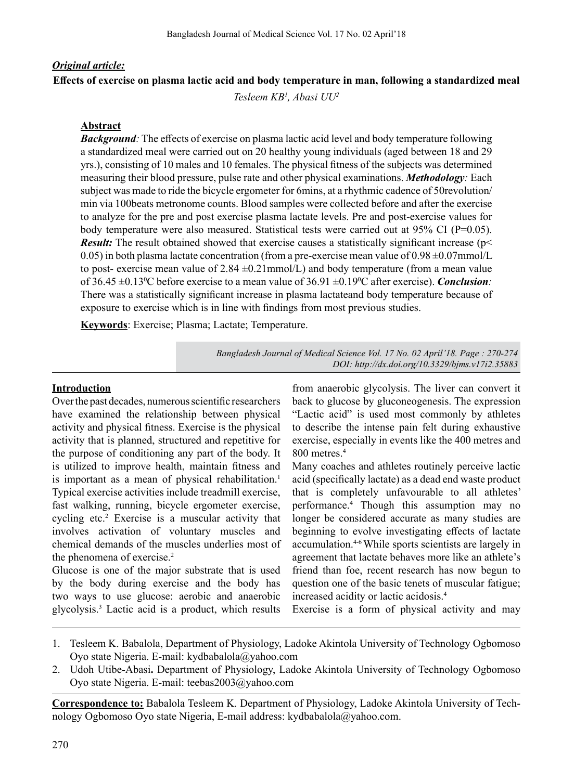# *Original article:* **Effects of exercise on plasma lactic acid and body temperature in man, following a standardized meal**

*Tesleem KB1 , Abasi UU2*

### **Abstract**

*Background:* The effects of exercise on plasma lactic acid level and body temperature following a standardized meal were carried out on 20 healthy young individuals (aged between 18 and 29 yrs.), consisting of 10 males and 10 females. The physical fitness of the subjects was determined measuring their blood pressure, pulse rate and other physical examinations. *Methodology:* Each subject was made to ride the bicycle ergometer for 6mins, at a rhythmic cadence of 50revolution/ min via 100beats metronome counts. Blood samples were collected before and after the exercise to analyze for the pre and post exercise plasma lactate levels. Pre and post-exercise values for body temperature were also measured. Statistical tests were carried out at 95% CI (P=0.05). *Result:* The result obtained showed that exercise causes a statistically significant increase (p 0.05) in both plasma lactate concentration (from a pre-exercise mean value of  $0.98 \pm 0.07$ mmol/L to post- exercise mean value of 2.84  $\pm$ 0.21mmol/L) and body temperature (from a mean value of 36.45  $\pm$ 0.13<sup>o</sup>C before exercise to a mean value of 36.91  $\pm$ 0.19<sup>o</sup>C after exercise). *Conclusion*: There was a statistically significant increase in plasma lactateand body temperature because of exposure to exercise which is in line with findings from most previous studies.

**Keywords**: Exercise; Plasma; Lactate; Temperature.

*Bangladesh Journal of Medical Science Vol. 17 No. 02 April'18. Page : 270-274 DOI: http://dx.doi.org/10.3329/bjms.v17i2.35883* 

### **Introduction**

Over the past decades, numerous scientific researchers have examined the relationship between physical activity and physical fitness. Exercise is the physical activity that is planned, structured and repetitive for the purpose of conditioning any part of the body. It is utilized to improve health, maintain fitness and is important as a mean of physical rehabilitation.<sup>1</sup> Typical exercise activities include treadmill exercise, fast walking, running, bicycle ergometer exercise, cycling etc.<sup>2</sup> Exercise is a muscular activity that involves activation of voluntary muscles and chemical demands of the muscles underlies most of the phenomena of exercise.<sup>2</sup>

Glucose is one of the major substrate that is used by the body during exercise and the body has two ways to use glucose: aerobic and anaerobic glycolysis.3 Lactic acid is a product, which results

from anaerobic glycolysis. The liver can convert it back to glucose by gluconeogenesis. The expression "Lactic acid" is used most commonly by athletes to describe the intense pain felt during exhaustive exercise, especially in events like the 400 metres and 800 metres.<sup>4</sup>

Many coaches and athletes routinely perceive lactic acid (specifically lactate) as a dead end waste product that is completely unfavourable to all athletes' performance.<sup>4</sup> Though this assumption may no longer be considered accurate as many studies are beginning to evolve investigating effects of lactate accumulation.4-6While sports scientists are largely in agreement that lactate behaves more like an athlete's friend than foe, recent research has now begun to question one of the basic tenets of muscular fatigue; increased acidity or lactic acidosis.<sup>4</sup>

Exercise is a form of physical activity and may

- 1. Tesleem K. Babalola, Department of Physiology, Ladoke Akintola University of Technology Ogbomoso Oyo state Nigeria. E-mail: kydbabalola@yahoo.com
- 2. Udoh Utibe-Abasi**.** Department of Physiology, Ladoke Akintola University of Technology Ogbomoso Oyo state Nigeria. E-mail: teebas2003@yahoo.com

**Correspondence to:** Babalola Tesleem K. Department of Physiology, Ladoke Akintola University of Technology Ogbomoso Oyo state Nigeria, E-mail address: kydbabalola@yahoo.com.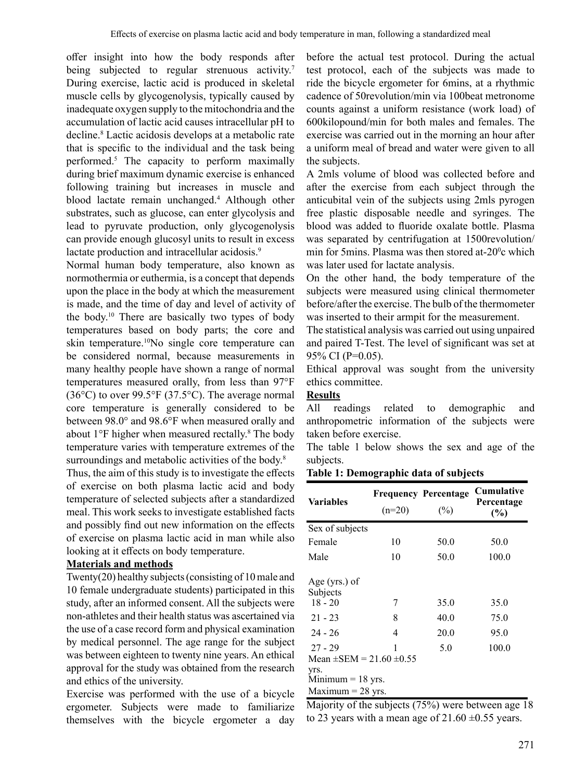offer insight into how the body responds after being subjected to regular strenuous activity.<sup>7</sup> During exercise, lactic acid is produced in skeletal muscle cells by glycogenolysis, typically caused by inadequate oxygen supply to the mitochondria and the accumulation of lactic acid causes intracellular pH to decline.<sup>8</sup> Lactic acidosis develops at a metabolic rate that is specific to the individual and the task being performed.5 The capacity to perform maximally during brief maximum dynamic exercise is enhanced following training but increases in muscle and blood lactate remain unchanged.<sup>4</sup> Although other substrates, such as glucose, can enter glycolysis and lead to pyruvate production, only glycogenolysis can provide enough glucosyl units to result in excess lactate production and intracellular acidosis.<sup>9</sup>

Normal human body temperature, also known as normothermia or euthermia, is a concept that depends upon the place in the body at which the measurement is made, and the time of day and level of activity of the body. <sup>10</sup> There are basically two types of body temperatures based on body parts; the core and skin temperature.10No single core temperature can be considered normal, because measurements in many healthy people have shown a range of normal temperatures measured orally, from less than 97°F  $(36^{\circ}C)$  to over 99.5°F  $(37.5^{\circ}C)$ . The average normal core temperature is generally considered to be between 98.0° and 98.6°F when measured orally and about 1°F higher when measured rectally.<sup>8</sup> The body temperature varies with temperature extremes of the surroundings and metabolic activities of the body.<sup>8</sup>

Thus, the aim of this study is to investigate the effects of exercise on both plasma lactic acid and body temperature of selected subjects after a standardized meal. This work seeks to investigate established facts and possibly find out new information on the effects of exercise on plasma lactic acid in man while also looking at it effects on body temperature.

## **Materials and methods**

Twenty(20) healthy subjects(consisting of 10male and 10 female undergraduate students) participated in this study, after an informed consent. All the subjects were non-athletes and their health status was ascertained via the use of a case record form and physical examination by medical personnel. The age range for the subject was between eighteen to twenty nine years. An ethical approval for the study was obtained from the research and ethics of the university.

Exercise was performed with the use of a bicycle ergometer. Subjects were made to familiarize themselves with the bicycle ergometer a day before the actual test protocol. During the actual test protocol, each of the subjects was made to ride the bicycle ergometer for 6mins, at a rhythmic cadence of 50revolution/min via 100beat metronome counts against a uniform resistance (work load) of 600kilopound/min for both males and females. The exercise was carried out in the morning an hour after a uniform meal of bread and water were given to all the subjects.

A 2mls volume of blood was collected before and after the exercise from each subject through the anticubital vein of the subjects using 2mls pyrogen free plastic disposable needle and syringes. The blood was added to fluoride oxalate bottle. Plasma was separated by centrifugation at 1500revolution/ min for 5mins. Plasma was then stored at-20°c which was later used for lactate analysis.

On the other hand, the body temperature of the subjects were measured using clinical thermometer before/after the exercise. The bulb of the thermometer was inserted to their armpit for the measurement.

The statistical analysis was carried out using unpaired and paired T-Test. The level of significant was set at 95% CI (P=0.05).

Ethical approval was sought from the university ethics committee.

### **Results**

All readings related to demographic and anthropometric information of the subjects were taken before exercise.

The table 1 below shows the sex and age of the subjects.

**Table 1: Demographic data of subjects**

| <b>Variables</b>                  | <b>Frequency Percentage</b><br>$(n=20)$ |      | Cumulative<br>Percentage<br>(%) |  |  |
|-----------------------------------|-----------------------------------------|------|---------------------------------|--|--|
| Sex of subjects                   |                                         |      |                                 |  |  |
| Female                            | 10                                      | 50.0 | 50.0                            |  |  |
| Male                              | 10                                      | 50.0 | 100.0                           |  |  |
| Age (yrs.) of<br>Subjects         |                                         |      |                                 |  |  |
| $18 - 20$                         | 7                                       | 35.0 | 35.0                            |  |  |
| $21 - 23$                         | 8                                       | 40.0 | 75.0                            |  |  |
| $24 - 26$                         | 4                                       | 20.0 | 95.0                            |  |  |
| $27 - 29$                         | 1                                       | 5.0  | 100.0                           |  |  |
| Mean $\pm$ SEM = 21.60 $\pm$ 0.55 |                                         |      |                                 |  |  |
| yrs.<br>$Minimum = 18$ yrs.       |                                         |      |                                 |  |  |
| Maximum $=$ 28 yrs.               |                                         |      |                                 |  |  |

Majority of the subjects (75%) were between age 18 to 23 years with a mean age of  $21.60 \pm 0.55$  years.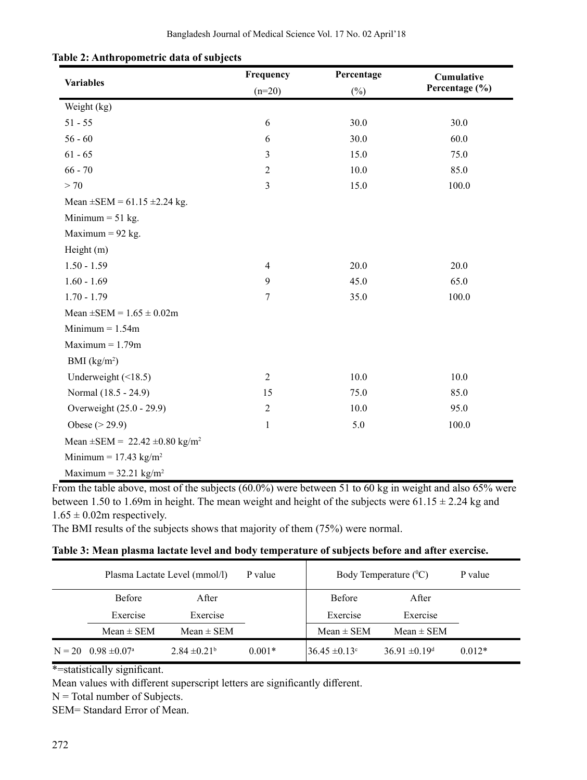|                                                     | Frequency      | Percentage | Cumulative<br>Percentage (%) |  |
|-----------------------------------------------------|----------------|------------|------------------------------|--|
| <b>Variables</b>                                    | $(n=20)$       | $(\%)$     |                              |  |
| Weight (kg)                                         |                |            |                              |  |
| $51 - 55$                                           | $\sqrt{6}$     | 30.0       | 30.0                         |  |
| $56 - 60$                                           | $\sqrt{6}$     | 30.0       | 60.0                         |  |
| $61 - 65$                                           | 3              | 15.0       | 75.0                         |  |
| $66 - 70$                                           | $\sqrt{2}$     | 10.0       | 85.0                         |  |
| > 70                                                | 3              | 15.0       | 100.0                        |  |
| Mean $\pm$ SEM = 61.15 $\pm$ 2.24 kg.               |                |            |                              |  |
| Minimum $= 51$ kg.                                  |                |            |                              |  |
| Maximum = $92$ kg.                                  |                |            |                              |  |
| Height (m)                                          |                |            |                              |  |
| $1.50 - 1.59$                                       | $\overline{4}$ | 20.0       | 20.0                         |  |
| $1.60 - 1.69$                                       | 9              | 45.0       | 65.0                         |  |
| $1.70 - 1.79$                                       | $\overline{7}$ | 35.0       | 100.0                        |  |
| Mean $\pm$ SEM = 1.65 $\pm$ 0.02m                   |                |            |                              |  |
| Minimum $= 1.54$ m                                  |                |            |                              |  |
| $Maximum = 1.79m$                                   |                |            |                              |  |
| BMI $(kg/m2)$                                       |                |            |                              |  |
| Underweight $(\leq 18.5)$                           | $\overline{2}$ | 10.0       | 10.0                         |  |
| Normal (18.5 - 24.9)                                | 15             | 75.0       | 85.0                         |  |
| Overweight (25.0 - 29.9)                            | $\sqrt{2}$     | 10.0       | 95.0                         |  |
| Obese ( $>$ 29.9)                                   | $\mathbf{1}$   | 5.0        | 100.0                        |  |
| Mean $\pm$ SEM = 22.42 $\pm$ 0.80 kg/m <sup>2</sup> |                |            |                              |  |
| Minimum = $17.43 \text{ kg/m}^2$                    |                |            |                              |  |
| Maximum = $32.21 \text{ kg/m}^2$                    |                |            |                              |  |

## **Table 2: Anthropometric data of subjects**

From the table above, most of the subjects (60.0%) were between 51 to 60 kg in weight and also 65% were between 1.50 to 1.69m in height. The mean weight and height of the subjects were  $61.15 \pm 2.24$  kg and  $1.65 \pm 0.02$ m respectively.

The BMI results of the subjects shows that majority of them (75%) were normal.

### **Table 3: Mean plasma lactate level and body temperature of subjects before and after exercise.**

| Plasma Lactate Level (mmol/l)<br>P value |                   | Body Temperature $(^{0}C)$ |                    | P value                       |          |
|------------------------------------------|-------------------|----------------------------|--------------------|-------------------------------|----------|
| Before                                   | After             |                            | <b>Before</b>      | After                         |          |
| Exercise                                 | Exercise          |                            | Exercise           | Exercise                      |          |
| Mean $\pm$ SEM                           | Mean $\pm$ SEM    |                            | $Mean \pm SEM$     | $Mean \pm SEM$                |          |
| $N = 20$ 0.98 $\pm 0.07^{\circ}$         | $2.84 \pm 0.21^b$ | $0.001*$                   | $36.45 \pm 0.13$ ° | $36.91 \pm 0.19$ <sup>d</sup> | $0.012*$ |

\*=statistically significant.

Mean values with different superscript letters are significantly different.

 $N = Total number of Subjects.$ 

SEM= Standard Error of Mean.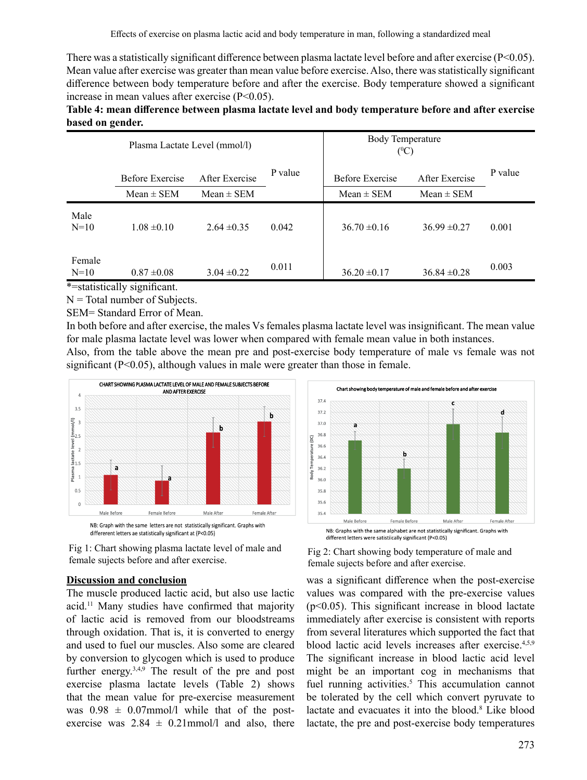There was a statistically significant difference between plasma lactate level before and after exercise ( $P<0.05$ ). Mean value after exercise was greater than mean value before exercise.Also, there wasstatistically significant difference between body temperature before and after the exercise. Body temperature showed a significant increase in mean values after exercise (P<0.05).

### **Table 4: mean difference between plasma lactate level and body temperature before and after exercise based on gender.**

|                  | Plasma Lactate Level (mmol/l)                                              |                                  |         | Body Temperature<br>$(^{0}C)$     |                                  |         |
|------------------|----------------------------------------------------------------------------|----------------------------------|---------|-----------------------------------|----------------------------------|---------|
|                  | Before Exercise<br>$Mean \pm SEM$                                          | After Exercise<br>$Mean \pm SEM$ | P value | Before Exercise<br>$Mean \pm SEM$ | After Exercise<br>$Mean \pm SEM$ | P value |
| Male<br>$N=10$   | $1.08 \pm 0.10$                                                            | $2.64 \pm 0.35$                  | 0.042   | $36.70 \pm 0.16$                  | $36.99 \pm 0.27$                 | 0.001   |
| Female<br>$N=10$ | $0.87 \pm 0.08$<br>$\sim$ $\sim$ $\sim$ $\sim$ $\sim$ $\sim$ $\sim$ $\sim$ | $3.04 \pm 0.22$                  | 0.011   | $36.20 \pm 0.17$                  | $36.84 \pm 0.28$                 | 0.003   |

\*=statistically significant.

 $N = Total number of Subjects.$ SEM= Standard Error of Mean.

In both before and after exercise, the males Vs females plasma lactate level was insignificant. The mean value for male plasma lactate level was lower when compared with female mean value in both instances. Also, from the table above the mean pre and post-exercise body temperature of male vs female was not

significant  $(P<0.05)$ , although values in male were greater than those in female. CHART SHOWING PLASMA LACTATE LEVEL OF MALE AND FEMALE SUBJECTS BEFORE AND AFTER EXERCISE 37.4  $3.5$ 37.2 Î.  $\frac{1}{2}$  $\overline{3}$ 37.0 h  $\bar{\tilde{\xi}}_{2.5}$  $36.8$ emperature (OC)  $\frac{1}{4}$  actate level  $\frac{1}{5}$ 36.6  $36.4$  $36.2$ Plasma 3odv  $\overline{1}$ 

Male Before Female After Male After Female Before NB: Graph with the same letters are not statistically significant. Graphs with differerent letters ae statistically significant at (P<0.05)



### **Discussion and conclusion**

 $0.5$ 

 $\mathfrak{c}$ 

The muscle produced lactic acid, but also use lactic acid.11 Many studies have confirmed that majority of lactic acid is removed from our bloodstreams through oxidation. That is, it is converted to energy and used to fuel our muscles. Also some are cleared by conversion to glycogen which is used to produce further energy.<sup>3,4,9</sup> The result of the pre and post exercise plasma lactate levels (Table 2) shows that the mean value for pre-exercise measurement was  $0.98 \pm 0.07$ mmol/l while that of the postexercise was  $2.84 \pm 0.21$  mmol/l and also, there







was a significant difference when the post-exercise values was compared with the pre-exercise values  $(p<0.05)$ . This significant increase in blood lactate immediately after exercise is consistent with reports from several literatures which supported the fact that blood lactic acid levels increases after exercise.4,5,9 The significant increase in blood lactic acid level might be an important cog in mechanisms that fuel running activities.<sup>5</sup> This accumulation cannot be tolerated by the cell which convert pyruvate to lactate and evacuates it into the blood.<sup>8</sup> Like blood lactate, the pre and post-exercise body temperatures